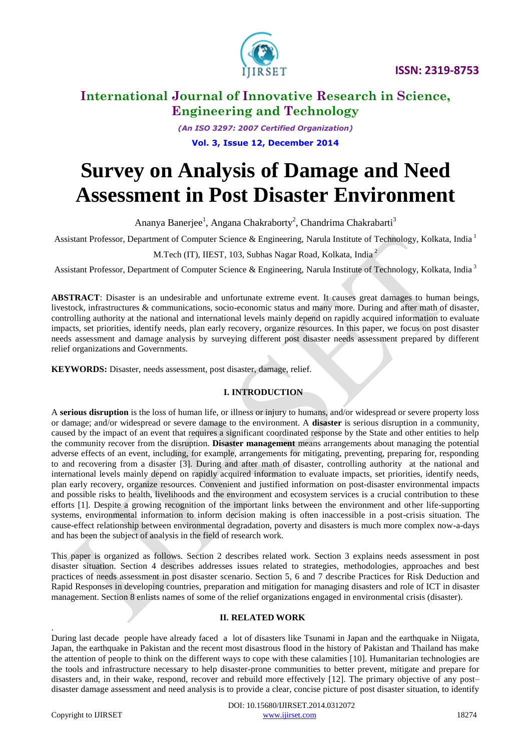

*(An ISO 3297: 2007 Certified Organization)* **Vol. 3, Issue 12, December 2014**

# **Survey on Analysis of Damage and Need Assessment in Post Disaster Environment**

Ananya Banerjee<sup>1</sup>, Angana Chakraborty<sup>2</sup>, Chandrima Chakrabarti<sup>3</sup>

Assistant Professor, Department of Computer Science & Engineering, Narula Institute of Technology, Kolkata, India <sup>1</sup>

M.Tech (IT), IIEST, 103, Subhas Nagar Road, Kolkata, India <sup>2</sup>

Assistant Professor, Department of Computer Science & Engineering, Narula Institute of Technology, Kolkata, India<sup>3</sup>

**ABSTRACT**: Disaster is an undesirable and unfortunate extreme event. It causes great damages to human beings, livestock, infrastructures & communications, socio-economic status and many more. During and after math of disaster, controlling authority at the national and international levels mainly depend on rapidly acquired information to evaluate impacts, set priorities, identify needs, plan early recovery, organize resources. In this paper, we focus on post disaster needs assessment and damage analysis by surveying different post disaster needs assessment prepared by different relief organizations and Governments.

**KEYWORDS:** Disaster, needs assessment, post disaster, damage, relief.

# **I. INTRODUCTION**

A **serious disruption** is the loss of human life, or illness or injury to humans, and/or widespread or severe property loss or damage; and/or widespread or severe damage to the environment. A **disaster** is serious disruption in a community, caused by the impact of an event that requires a significant coordinated response by the State and other entities to help the community recover from the disruption. **Disaster management** means arrangements about managing the potential adverse effects of an event, including, for example, arrangements for mitigating, preventing, preparing for, responding to and recovering from a disaster [3]. During and after math of disaster, controlling authority at the national and international levels mainly depend on rapidly acquired information to evaluate impacts, set priorities, identify needs, plan early recovery, organize resources. Convenient and justified information on post-disaster environmental impacts and possible risks to health, livelihoods and the environment and ecosystem services is a crucial contribution to these efforts [1]. Despite a growing recognition of the important links between the environment and other life-supporting systems, environmental information to inform decision making is often inaccessible in a post-crisis situation. The cause-effect relationship between environmental degradation, poverty and disasters is much more complex now-a-days and has been the subject of analysis in the field of research work.

This paper is organized as follows. Section 2 describes related work. Section 3 explains needs assessment in post disaster situation. Section 4 describes addresses issues related to strategies, methodologies, approaches and best practices of needs assessment in post disaster scenario. Section 5, 6 and 7 describe Practices for Risk Deduction and Rapid Responses in developing countries, preparation and mitigation for managing disasters and role of ICT in disaster management. Section 8 enlists names of some of the relief organizations engaged in environmental crisis (disaster).

#### **II. RELATED WORK**

During last decade people have already faced a lot of disasters like Tsunami in Japan and the earthquake in Niigata, Japan, the earthquake in Pakistan and the recent most disastrous flood in the history of Pakistan and Thailand has make the attention of people to think on the different ways to cope with these calamities [10]. Humanitarian technologies are the tools and infrastructure necessary to help disaster-prone communities to better prevent, mitigate and prepare for disasters and, in their wake, respond, recover and rebuild more effectively [12]. The primary objective of any post– disaster damage assessment and need analysis is to provide a clear, concise picture of post disaster situation, to identify

.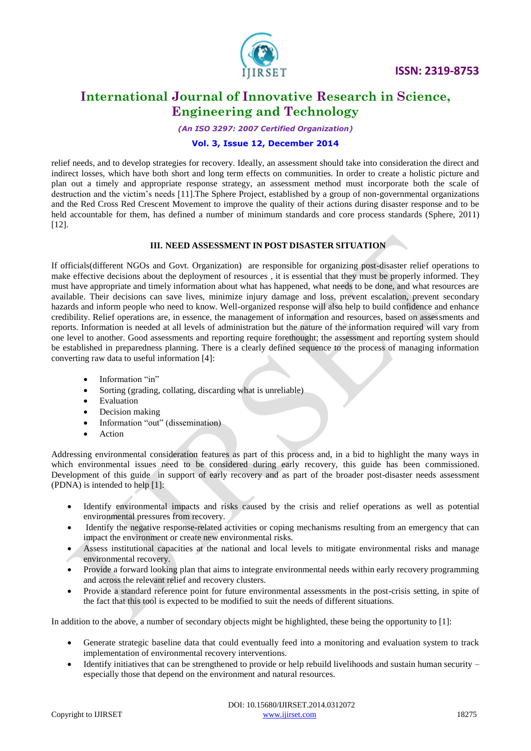

*(An ISO 3297: 2007 Certified Organization)*

### **Vol. 3, Issue 12, December 2014**

relief needs, and to develop strategies for recovery. Ideally, an assessment should take into consideration the direct and indirect losses, which have both short and long term effects on communities. In order to create a holistic picture and plan out a timely and appropriate response strategy, an assessment method must incorporate both the scale of destruction and the victim"s needs [11].The Sphere Project, established by a group of non-governmental organizations and the Red Cross Red Crescent Movement to improve the quality of their actions during disaster response and to be held accountable for them, has defined a number of minimum standards and core process standards (Sphere, 2011) [12].

### **III. NEED ASSESSMENT IN POST DISASTER SITUATION**

If officials(different NGOs and Govt. Organization) are responsible for organizing post-disaster relief operations to make effective decisions about the deployment of resources , it is essential that they must be properly informed. They must have appropriate and timely information about what has happened, what needs to be done, and what resources are available. Their decisions can save lives, minimize injury damage and loss, prevent escalation, prevent secondary hazards and inform people who need to know. Well-organized response will also help to build confidence and enhance credibility. Relief operations are, in essence, the management of information and resources, based on assessments and reports. Information is needed at all levels of administration but the nature of the information required will vary from one level to another. Good assessments and reporting require forethought; the assessment and reporting system should be established in preparedness planning. There is a clearly defined sequence to the process of managing information converting raw data to useful information [4]:

- Information "in"
- Sorting (grading, collating, discarding what is unreliable)
- Evaluation
- Decision making
- Information "out" (dissemination)
- Action

Addressing environmental consideration features as part of this process and, in a bid to highlight the many ways in which environmental issues need to be considered during early recovery, this guide has been commissioned. Development of this guide in support of early recovery and as part of the broader post-disaster needs assessment (PDNA) is intended to help [1]:

- Identify environmental impacts and risks caused by the crisis and relief operations as well as potential environmental pressures from recovery.
- Identify the negative response-related activities or coping mechanisms resulting from an emergency that can impact the environment or create new environmental risks.
- Assess institutional capacities at the national and local levels to mitigate environmental risks and manage environmental recovery.
- Provide a forward looking plan that aims to integrate environmental needs within early recovery programming and across the relevant relief and recovery clusters.
- Provide a standard reference point for future environmental assessments in the post-crisis setting, in spite of the fact that this tool is expected to be modified to suit the needs of different situations.

In addition to the above, a number of secondary objects might be highlighted, these being the opportunity to [1]:

- Generate strategic baseline data that could eventually feed into a monitoring and evaluation system to track implementation of environmental recovery interventions.
- $\bullet$  Identify initiatives that can be strengthened to provide or help rebuild livelihoods and sustain human security especially those that depend on the environment and natural resources.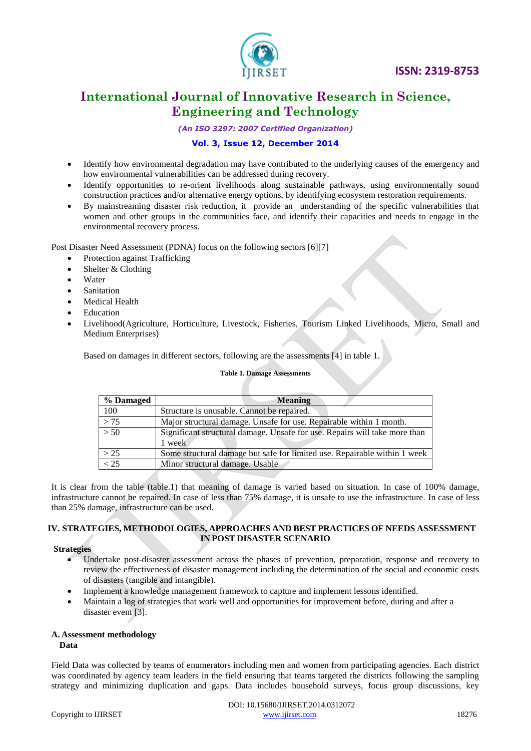

*(An ISO 3297: 2007 Certified Organization)*

### **Vol. 3, Issue 12, December 2014**

- Identify how environmental degradation may have contributed to the underlying causes of the emergency and how environmental vulnerabilities can be addressed during recovery.
- Identify opportunities to re-orient livelihoods along sustainable pathways, using environmentally sound construction practices and/or alternative energy options, by identifying ecosystem restoration requirements.
- By mainstreaming disaster risk reduction, it provide an understanding of the specific vulnerabilities that women and other groups in the communities face, and identify their capacities and needs to engage in the environmental recovery process.

Post Disaster Need Assessment (PDNA) focus on the following sectors [6][7]

- Protection against Trafficking
- Shelter & Clothing
- Water
- Sanitation
- Medical Health
- Education
- Livelihood(Agriculture, Horticulture, Livestock, Fisheries, Tourism Linked Livelihoods, Micro, Small and Medium Enterprises)

Based on damages in different sectors, following are the assessments [4] in table 1.

#### **Table 1. Damage Assessments**

| % Damaged | <b>Meaning</b>                                                                       |
|-----------|--------------------------------------------------------------------------------------|
| 100       | Structure is unusable. Cannot be repaired.                                           |
| >75       | Major structural damage. Unsafe for use. Repairable within 1 month.                  |
| > 50      | Significant structural damage. Unsafe for use. Repairs will take more than<br>1 week |
| > 25      | Some structural damage but safe for limited use. Repairable within 1 week            |
| < 25      | Minor structural damage. Usable                                                      |

It is clear from the table (table.1) that meaning of damage is varied based on situation. In case of 100% damage, infrastructure cannot be repaired. In case of less than 75% damage, it is unsafe to use the infrastructure. In case of less than 25% damage, infrastructure can be used.

#### **IV. STRATEGIES, METHODOLOGIES, APPROACHES AND BEST PRACTICES OF NEEDS ASSESSMENT IN POST DISASTER SCENARIO**

#### **Strategies**

- Undertake post-disaster assessment across the phases of prevention, preparation, response and recovery to review the effectiveness of disaster management including the determination of the social and economic costs of disasters (tangible and intangible).
- Implement a knowledge management framework to capture and implement lessons identified.
- Maintain a log of strategies that work well and opportunities for improvement before, during and after a disaster event [3].

# **A. Assessment methodology**

#### **Data**

Field Data was collected by teams of enumerators including men and women from participating agencies. Each district was coordinated by agency team leaders in the field ensuring that teams targeted the districts following the sampling strategy and minimizing duplication and gaps. Data includes household surveys, focus group discussions, key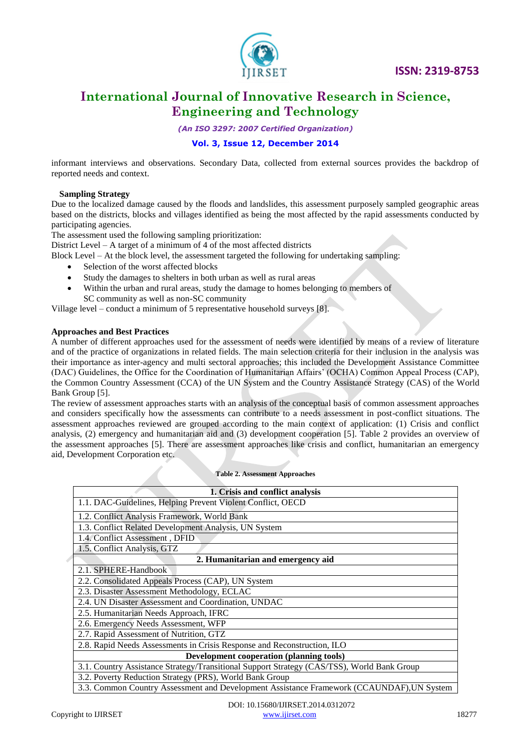

 **ISSN: 2319-8753** 

# **International Journal of Innovative Research in Science, Engineering and Technology**

*(An ISO 3297: 2007 Certified Organization)*

# **Vol. 3, Issue 12, December 2014**

informant interviews and observations. Secondary Data, collected from external sources provides the backdrop of reported needs and context.

#### **Sampling Strategy**

Due to the localized damage caused by the floods and landslides, this assessment purposely sampled geographic areas based on the districts, blocks and villages identified as being the most affected by the rapid assessments conducted by participating agencies.

The assessment used the following sampling prioritization:

District Level – A target of a minimum of 4 of the most affected districts

Block Level – At the block level, the assessment targeted the following for undertaking sampling:

- Selection of the worst affected blocks
- Study the damages to shelters in both urban as well as rural areas
- Within the urban and rural areas, study the damage to homes belonging to members of SC community as well as non-SC community

Village level – conduct a minimum of 5 representative household surveys [8].

#### **Approaches and Best Practices**

A number of different approaches used for the assessment of needs were identified by means of a review of literature and of the practice of organizations in related fields. The main selection criteria for their inclusion in the analysis was their importance as inter-agency and multi sectoral approaches; this included the Development Assistance Committee (DAC) Guidelines, the Office for the Coordination of Humanitarian Affairs" (OCHA) Common Appeal Process (CAP), the Common Country Assessment (CCA) of the UN System and the Country Assistance Strategy (CAS) of the World Bank Group [5].

The review of assessment approaches starts with an analysis of the conceptual basis of common assessment approaches and considers specifically how the assessments can contribute to a needs assessment in post-conflict situations. The assessment approaches reviewed are grouped according to the main context of application: (1) Crisis and conflict analysis, (2) emergency and humanitarian aid and (3) development cooperation [5]. Table 2 provides an overview of the assessment approaches [5]. There are assessment approaches like crisis and conflict, humanitarian an emergency aid, Development Corporation etc.

#### **Table 2. Assessment Approaches**

| 1. Crisis and conflict analysis                                                            |  |
|--------------------------------------------------------------------------------------------|--|
| 1.1. DAC-Guidelines, Helping Prevent Violent Conflict, OECD                                |  |
| 1.2. Conflict Analysis Framework, World Bank                                               |  |
| 1.3. Conflict Related Development Analysis, UN System                                      |  |
| 1.4. Conflict Assessment, DFID                                                             |  |
| 1.5. Conflict Analysis, GTZ                                                                |  |
| 2. Humanitarian and emergency aid                                                          |  |
| 2.1. SPHERE-Handbook                                                                       |  |
| 2.2. Consolidated Appeals Process (CAP), UN System                                         |  |
| 2.3. Disaster Assessment Methodology, ECLAC                                                |  |
| 2.4. UN Disaster Assessment and Coordination, UNDAC                                        |  |
| 2.5. Humanitarian Needs Approach, IFRC                                                     |  |
| 2.6. Emergency Needs Assessment, WFP                                                       |  |
| 2.7. Rapid Assessment of Nutrition, GTZ                                                    |  |
| 2.8. Rapid Needs Assessments in Crisis Response and Reconstruction, ILO                    |  |
| <b>Development cooperation (planning tools)</b>                                            |  |
| 3.1. Country Assistance Strategy/Transitional Support Strategy (CAS/TSS), World Bank Group |  |
| 3.2. Poverty Reduction Strategy (PRS), World Bank Group                                    |  |
| 3.3. Common Country Assessment and Development Assistance Framework (CCAUNDAF), UN System  |  |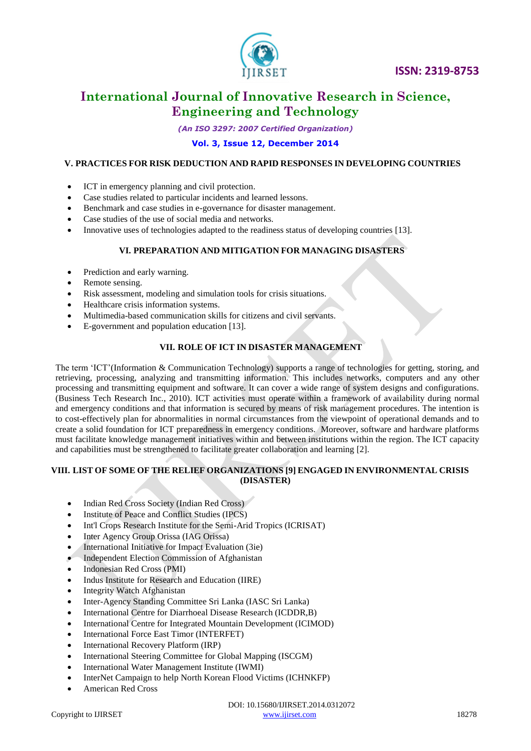

*(An ISO 3297: 2007 Certified Organization)*

### **Vol. 3, Issue 12, December 2014**

#### **V. PRACTICES FOR RISK DEDUCTION AND RAPID RESPONSES IN DEVELOPING COUNTRIES**

- ICT in emergency planning and civil protection.
- Case studies related to particular incidents and learned lessons.
- Benchmark and case studies in e-governance for disaster management.
- Case studies of the use of social media and networks.
- Innovative uses of technologies adapted to the readiness status of developing countries [13].

#### **VI. PREPARATION AND MITIGATION FOR MANAGING DISASTERS**

- Prediction and early warning.
- Remote sensing.
- Risk assessment, modeling and simulation tools for crisis situations.
- Healthcare crisis information systems.
- Multimedia-based communication skills for citizens and civil servants.
- E-government and population education [13].

# **VII. ROLE OF ICT IN DISASTER MANAGEMENT**

The term "ICT"(Information & Communication Technology) supports a range of technologies for getting, storing, and retrieving, processing, analyzing and transmitting information. This includes networks, computers and any other processing and transmitting equipment and software. It can cover a wide range of system designs and configurations. (Business Tech Research Inc., 2010). ICT activities must operate within a framework of availability during normal and emergency conditions and that information is secured by means of risk management procedures. The intention is to cost-effectively plan for abnormalities in normal circumstances from the viewpoint of operational demands and to create a solid foundation for ICT preparedness in emergency conditions. Moreover, software and hardware platforms must facilitate knowledge management initiatives within and between institutions within the region. The ICT capacity and capabilities must be strengthened to facilitate greater collaboration and learning [2].

### **VIII. LIST OF SOME OF THE RELIEF ORGANIZATIONS [9] ENGAGED IN ENVIRONMENTAL CRISIS (DISASTER)**

- [Indian Red Cross Society \(Indian Red Cross\)](http://reliefweb.int/organization/indian-red-cross)
- [Institute of Peace and Conflict Studies \(IPCS\)](http://reliefweb.int/organization/ipcs)
- [Int'l Crops Research Institute for the Semi-Arid Tropics \(ICRISAT\)](http://reliefweb.int/organization/icrisat)
- [Inter Agency Group Orissa \(IAG Orissa\)](http://reliefweb.int/organization/iag-orissa)
- International Initiative for Impact Evaluation (3ie)
- [Independent Election Commission of Afghanistan](http://reliefweb.int/organization/independent-election-commission-afghanistan)
- [Indonesian Red Cross \(PMI\)](http://reliefweb.int/organization/pmi)
- [Indus Institute for Research and Education \(IIRE\)](http://reliefweb.int/organization/iire)
- [Integrity Watch Afghanistan](http://reliefweb.int/organization/integrity-watch-afghanistan)
- [Inter-Agency Standing Committee Sri Lanka \(IASC Sri Lanka\)](http://reliefweb.int/organization/iasc-sri-lanka)
- International Centre for Diarrhoeal Disease Research (ICDDR, B)
- [International Centre for Integrated Mountain Development \(ICIMOD\)](http://reliefweb.int/organization/icimod)
- [International Force East Timor \(INTERFET\)](http://reliefweb.int/organization/interfet)
- [International Recovery Platform \(IRP\)](http://reliefweb.int/organization/irp)
- [International Steering Committee for Global Mapping \(ISCGM\)](http://reliefweb.int/organization/iscgm)
- [International Water Management Institute \(IWMI\)](http://reliefweb.int/organization/iwmi)
- [InterNet Campaign to help North Korean Flood Victims \(ICHNKFP\)](http://reliefweb.int/organization/ichnkfp)
- American Red Cross